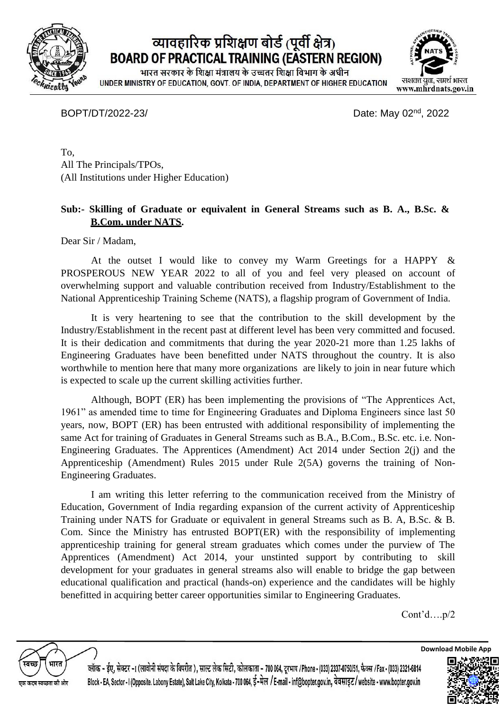

## व्यावहारिक प्रशिक्षण बोर्ड (पूर्वी क्षेत्र) **BOARD OF PRACTICAL TRAINING (EASTERN REGION)**

भारत सरकार के शिक्षा मंत्रालय के उच्चतर शिक्षा विभाग के अधीन UNDER MINISTRY OF EDUCATION, GOVT. OF INDIA, DEPARTMENT OF HIGHER EDUCATION



BOPT/DT/2022-23/ Date: May 02<sup>nd</sup>, 2022

To, All The Principals/TPOs, (All Institutions under Higher Education)

## **Sub:- Skilling of Graduate or equivalent in General Streams such as B. A., B.Sc. & B.Com. under NATS.**

Dear Sir / Madam,

At the outset I would like to convey my Warm Greetings for a HAPPY & PROSPEROUS NEW YEAR 2022 to all of you and feel very pleased on account of overwhelming support and valuable contribution received from Industry/Establishment to the National Apprenticeship Training Scheme (NATS), a flagship program of Government of India.

It is very heartening to see that the contribution to the skill development by the Industry/Establishment in the recent past at different level has been very committed and focused. It is their dedication and commitments that during the year 2020-21 more than 1.25 lakhs of Engineering Graduates have been benefitted under NATS throughout the country. It is also worthwhile to mention here that many more organizations are likely to join in near future which is expected to scale up the current skilling activities further.

Although, BOPT (ER) has been implementing the provisions of "The Apprentices Act, 1961" as amended time to time for Engineering Graduates and Diploma Engineers since last 50 years, now, BOPT (ER) has been entrusted with additional responsibility of implementing the same Act for training of Graduates in General Streams such as B.A., B.Com., B.Sc. etc. i.e. Non-Engineering Graduates. The Apprentices (Amendment) Act 2014 under Section 2(j) and the Apprenticeship (Amendment) Rules 2015 under Rule 2(5A) governs the training of Non-Engineering Graduates.

I am writing this letter referring to the communication received from the Ministry of Education, Government of India regarding expansion of the current activity of Apprenticeship Training under NATS for Graduate or equivalent in general Streams such as B. A, B.Sc. & B. Com. Since the Ministry has entrusted BOPT(ER) with the responsibility of implementing apprenticeship training for general stream graduates which comes under the purview of The Apprentices (Amendment) Act 2014, your unstinted support by contributing to skill development for your graduates in general streams also will enable to bridge the gap between educational qualification and practical (hands-on) experience and the candidates will be highly benefitted in acquiring better career opportunities similar to Engineering Graduates.

Cont'd….p/2



ल्लॉक - ईए, सेक्टर -1 (लावोनी संपदा के विपरीत ), साल्ट लेक सिटी, कोलकाता - 700 064, दरभाष /Phone -(033) 2337-0750/51, फैक्स /Fax -(033) 2321-6814 Block - EA. Sector - I (Opposite, Labony Estate), Salt Lake City, Kolkata - 700 064, ई-मेल / E-mail - inf@bopter.gov.in, वेबसाइट/website - www.bopter.gov.in



**Download Mobile App**